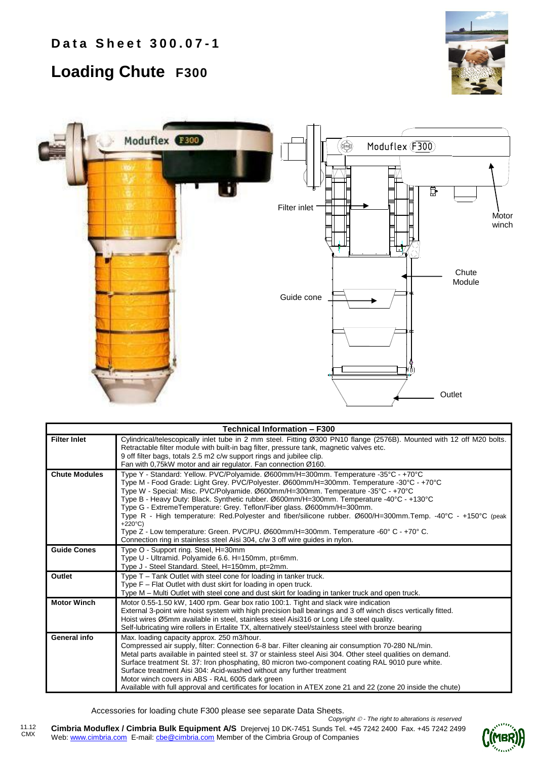## **Loading Chute F300**





|                      | <b>Technical Information - F300</b>                                                                                                                                                                                                                                                                                                                                                                                                                                                                                                                                                                                                                                                                                                                   |  |  |  |  |  |  |  |  |
|----------------------|-------------------------------------------------------------------------------------------------------------------------------------------------------------------------------------------------------------------------------------------------------------------------------------------------------------------------------------------------------------------------------------------------------------------------------------------------------------------------------------------------------------------------------------------------------------------------------------------------------------------------------------------------------------------------------------------------------------------------------------------------------|--|--|--|--|--|--|--|--|
| <b>Filter Inlet</b>  | Cylindrical/telescopically inlet tube in 2 mm steel. Fitting Ø300 PN10 flange (2576B). Mounted with 12 off M20 bolts.<br>Retractable filter module with built-in bag filter, pressure tank, magnetic valves etc.<br>9 off filter bags, totals 2.5 m2 c/w support rings and jubilee clip.<br>Fan with 0,75kW motor and air regulator. Fan connection Ø160.                                                                                                                                                                                                                                                                                                                                                                                             |  |  |  |  |  |  |  |  |
| <b>Chute Modules</b> | Type Y - Standard: Yellow. PVC/Polyamide. Ø600mm/H=300mm. Temperature -35°C - +70°C<br>Type M - Food Grade: Light Grey. PVC/Polyester. Ø600mm/H=300mm. Temperature -30°C - +70°C<br>Type W - Special: Misc. PVC/Polyamide. Ø600mm/H=300mm. Temperature -35°C - +70°C<br>Type B - Heavy Duty: Black. Synthetic rubber. Ø600mm/H=300mm. Temperature -40°C - +130°C<br>Type G - ExtremeTemperature: Grey. Teflon/Fiber glass. Ø600mm/H=300mm.<br>Type R - High temperature: Red.Polyester and fiber/silicone rubber. Ø600/H=300mm.Temp. -40°C - +150°C (peak<br>$+220^{\circ}C$<br>Type Z - Low temperature: Green. PVC/PU. Ø600mm/H=300mm. Temperature -60° C - +70° C.<br>Connection ring in stainless steel Aisi 304, c/w 3 off wire guides in nylon. |  |  |  |  |  |  |  |  |
| <b>Guide Cones</b>   | Type O - Support ring. Steel, H=30mm<br>Type U - Ultramid. Polyamide 6.6. H=150mm, pt=6mm.<br>Type J - Steel Standard. Steel, H=150mm, pt=2mm.                                                                                                                                                                                                                                                                                                                                                                                                                                                                                                                                                                                                        |  |  |  |  |  |  |  |  |
| Outlet               | Type T - Tank Outlet with steel cone for loading in tanker truck.<br>Type F – Flat Outlet with dust skirt for loading in open truck.<br>Type M - Multi Outlet with steel cone and dust skirt for loading in tanker truck and open truck.                                                                                                                                                                                                                                                                                                                                                                                                                                                                                                              |  |  |  |  |  |  |  |  |
| <b>Motor Winch</b>   | Motor 0.55-1.50 kW, 1400 rpm. Gear box ratio 100:1. Tight and slack wire indication<br>External 3-point wire hoist system with high precision ball bearings and 3 off winch discs vertically fitted.<br>Hoist wires Ø5mm available in steel, stainless steel Aisi316 or Long Life steel quality.<br>Self-lubricating wire rollers in Ertalite TX, alternatively steel/stainless steel with bronze bearing                                                                                                                                                                                                                                                                                                                                             |  |  |  |  |  |  |  |  |
| General info         | Max. loading capacity approx. 250 m3/hour.<br>Compressed air supply, filter: Connection 6-8 bar. Filter cleaning air consumption 70-280 NL/min.<br>Metal parts available in painted steel st. 37 or stainless steel Aisi 304. Other steel qualities on demand.<br>Surface treatment St. 37: Iron phosphating, 80 micron two-component coating RAL 9010 pure white.<br>Surface treatment Aisi 304: Acid-washed without any further treatment<br>Motor winch covers in ABS - RAL 6005 dark green<br>Available with full approval and certificates for location in ATEX zone 21 and 22 (zone 20 inside the chute)                                                                                                                                        |  |  |  |  |  |  |  |  |

Accessories for loading chute F300 please see separate Data Sheets.

**Cimbria Moduflex / Cimbria Bulk Equipment A/S** Drejervej 10 DK-7451 Sunds Tel. +45 7242 2400 Fax. +45 7242 2499 Web: www.cimbria.com E-mail: cbe@cimbria.com Member of the Cimbria Group of Companies *Copyright - The right to alterations is reserved*

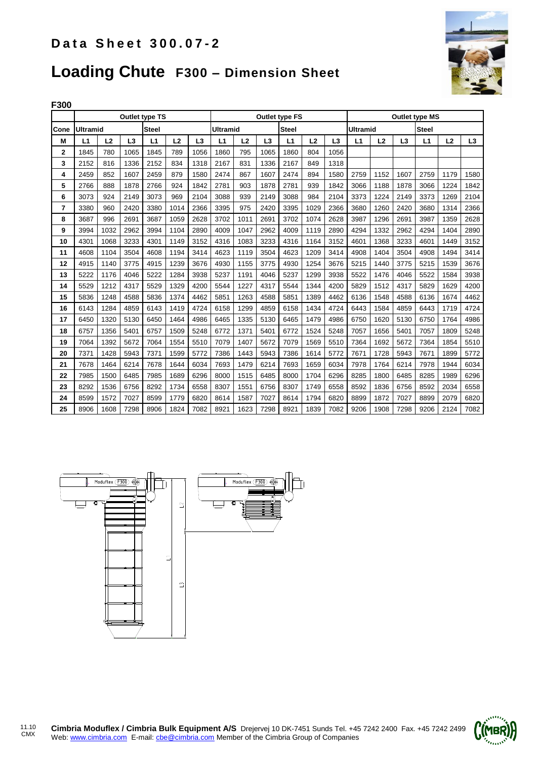

## **Loading Chute F300 – Dimension Sheet**

| F300 |                                 |      |      |                          |      |      |                       |                                 |                |      |      |                       |                |      |                |      |      |                |
|------|---------------------------------|------|------|--------------------------|------|------|-----------------------|---------------------------------|----------------|------|------|-----------------------|----------------|------|----------------|------|------|----------------|
|      | <b>Outlet type TS</b>           |      |      |                          |      |      | <b>Outlet type FS</b> |                                 |                |      |      | <b>Outlet type MS</b> |                |      |                |      |      |                |
| Cone | <b>Steel</b><br><b>Ultramid</b> |      |      | <b>Steel</b><br>Ultramid |      |      |                       | <b>Ultramid</b><br><b>Steel</b> |                |      |      |                       |                |      |                |      |      |                |
| М    | L1                              | L2   | L3   | L1                       | L2   | L3   | L <sub>1</sub>        | L2                              | L <sub>3</sub> | L1   | L2   | L3                    | L <sub>1</sub> | L2   | L <sub>3</sub> | L1   | L2   | L <sub>3</sub> |
| 2    | 1845                            | 780  | 1065 | 1845                     | 789  | 1056 | 1860                  | 795                             | 1065           | 1860 | 804  | 1056                  |                |      |                |      |      |                |
| 3    | 2152                            | 816  | 1336 | 2152                     | 834  | 1318 | 2167                  | 831                             | 1336           | 2167 | 849  | 1318                  |                |      |                |      |      |                |
| 4    | 2459                            | 852  | 1607 | 2459                     | 879  | 1580 | 2474                  | 867                             | 1607           | 2474 | 894  | 1580                  | 2759           | 1152 | 1607           | 2759 | 1179 | 1580           |
| 5    | 2766                            | 888  | 1878 | 2766                     | 924  | 1842 | 2781                  | 903                             | 1878           | 2781 | 939  | 1842                  | 3066           | 1188 | 1878           | 3066 | 1224 | 1842           |
| 6    | 3073                            | 924  | 2149 | 3073                     | 969  | 2104 | 3088                  | 939                             | 2149           | 3088 | 984  | 2104                  | 3373           | 1224 | 2149           | 3373 | 1269 | 2104           |
| 7    | 3380                            | 960  | 2420 | 3380                     | 1014 | 2366 | 3395                  | 975                             | 2420           | 3395 | 1029 | 2366                  | 3680           | 1260 | 2420           | 3680 | 1314 | 2366           |
| 8    | 3687                            | 996  | 2691 | 3687                     | 1059 | 2628 | 3702                  | 1011                            | 2691           | 3702 | 1074 | 2628                  | 3987           | 1296 | 2691           | 3987 | 1359 | 2628           |
| 9    | 3994                            | 1032 | 2962 | 3994                     | 1104 | 2890 | 4009                  | 1047                            | 2962           | 4009 | 1119 | 2890                  | 4294           | 1332 | 2962           | 4294 | 1404 | 2890           |
| 10   | 4301                            | 1068 | 3233 | 4301                     | 1149 | 3152 | 4316                  | 1083                            | 3233           | 4316 | 1164 | 3152                  | 4601           | 1368 | 3233           | 4601 | 1449 | 3152           |
| 11   | 4608                            | 1104 | 3504 | 4608                     | 1194 | 3414 | 4623                  | 1119                            | 3504           | 4623 | 1209 | 3414                  | 4908           | 1404 | 3504           | 4908 | 1494 | 3414           |
| 12   | 4915                            | 1140 | 3775 | 4915                     | 1239 | 3676 | 4930                  | 1155                            | 3775           | 4930 | 1254 | 3676                  | 5215           | 1440 | 3775           | 5215 | 1539 | 3676           |
| 13   | 5222                            | 1176 | 4046 | 5222                     | 1284 | 3938 | 5237                  | 1191                            | 4046           | 5237 | 1299 | 3938                  | 5522           | 1476 | 4046           | 5522 | 1584 | 3938           |
| 14   | 5529                            | 1212 | 4317 | 5529                     | 1329 | 4200 | 5544                  | 1227                            | 4317           | 5544 | 1344 | 4200                  | 5829           | 1512 | 4317           | 5829 | 1629 | 4200           |
| 15   | 5836                            | 1248 | 4588 | 5836                     | 1374 | 4462 | 5851                  | 1263                            | 4588           | 5851 | 1389 | 4462                  | 6136           | 1548 | 4588           | 6136 | 1674 | 4462           |
| 16   | 6143                            | 1284 | 4859 | 6143                     | 1419 | 4724 | 6158                  | 1299                            | 4859           | 6158 | 1434 | 4724                  | 6443           | 1584 | 4859           | 6443 | 1719 | 4724           |
| 17   | 6450                            | 1320 | 5130 | 6450                     | 1464 | 4986 | 6465                  | 1335                            | 5130           | 6465 | 1479 | 4986                  | 6750           | 1620 | 5130           | 6750 | 1764 | 4986           |
| 18   | 6757                            | 1356 | 5401 | 6757                     | 1509 | 5248 | 6772                  | 1371                            | 5401           | 6772 | 1524 | 5248                  | 7057           | 1656 | 5401           | 7057 | 1809 | 5248           |
| 19   | 7064                            | 1392 | 5672 | 7064                     | 1554 | 5510 | 7079                  | 1407                            | 5672           | 7079 | 1569 | 5510                  | 7364           | 1692 | 5672           | 7364 | 1854 | 5510           |
| 20   | 7371                            | 1428 | 5943 | 7371                     | 1599 | 5772 | 7386                  | 1443                            | 5943           | 7386 | 1614 | 5772                  | 7671           | 1728 | 5943           | 7671 | 1899 | 5772           |
| 21   | 7678                            | 1464 | 6214 | 7678                     | 1644 | 6034 | 7693                  | 1479                            | 6214           | 7693 | 1659 | 6034                  | 7978           | 1764 | 6214           | 7978 | 1944 | 6034           |
| 22   | 7985                            | 1500 | 6485 | 7985                     | 1689 | 6296 | 8000                  | 1515                            | 6485           | 8000 | 1704 | 6296                  | 8285           | 1800 | 6485           | 8285 | 1989 | 6296           |
| 23   | 8292                            | 1536 | 6756 | 8292                     | 1734 | 6558 | 8307                  | 1551                            | 6756           | 8307 | 1749 | 6558                  | 8592           | 1836 | 6756           | 8592 | 2034 | 6558           |
| 24   | 8599                            | 1572 | 7027 | 8599                     | 1779 | 6820 | 8614                  | 1587                            | 7027           | 8614 | 1794 | 6820                  | 8899           | 1872 | 7027           | 8899 | 2079 | 6820           |
| 25   | 8906                            | 1608 | 7298 | 8906                     | 1824 | 7082 | 8921                  | 1623                            | 7298           | 8921 | 1839 | 7082                  | 9206           | 1908 | 7298           | 9206 | 2124 | 7082           |